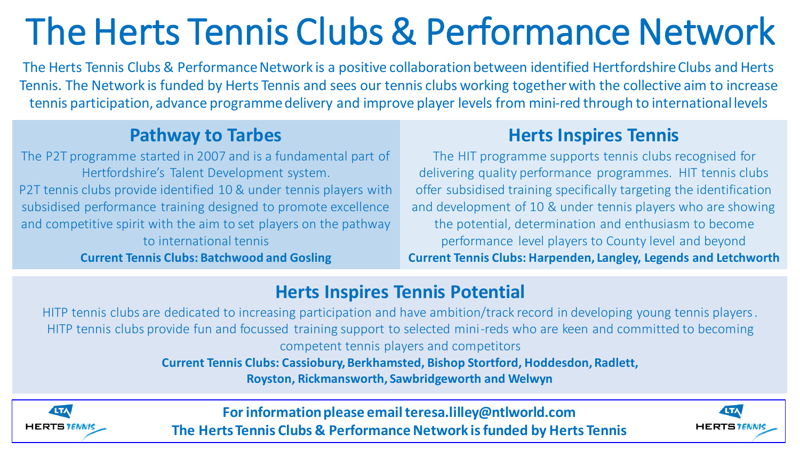# The Herts Tennis Clubs & Performance Network

The Herts Tennis Clubs & Performance Network is a positive collaboration between identified Hertfordshire Clubs and Herts Tennis. The Network is funded by Herts Tennis and sees our tennis clubs working together with the collective aim to increase tennis participation, advance programme delivery and improve player levels from mini-red through to international levels

#### **Pathway to Tarbes**

The P2T programme started in 2007 and is a fundamental part of Hertfordshire's Talent Development system. P2T tennis clubs provide identified 10 & under tennis players with subsidised performance training designed to promote excellence and competitive spirit with the aim to set players on the pathway to international tennis

**Current Tennis Clubs: Batchwood and Gosling** 

### **Herts Inspires Tennis**

The HIT programme supports tennis clubs recognised for delivering quality performance programmes. HIT tennis clubs offer subsidised training specifically targeting the identification and development of 10 & under tennis players who are showing the potential, determination and enthusiasm to become performance level players to County level and beyond **Current Tennis Clubs: Harpenden, Langley, Legends and Letchworth**

#### **Herts Inspires Tennis Potential**

HITP tennis clubs are dedicated to increasing participation and have ambition/track record in developing young tennis players. HITP tennis clubs provide fun and focussed training support to selected mini-reds who are keen and committed to becoming competent tennis players and competitors

**Current Tennis Clubs: Cassiobury, Berkhamsted, Bishop Stortford, Hoddesdon, Radlett,** 

**Royston, Rickmansworth, Sawbridgeworth and Welwyn**



**For information please email teresa.lilley@ntlworld.com The Herts Tennis Clubs & Performance Network is funded by Herts Tennis**